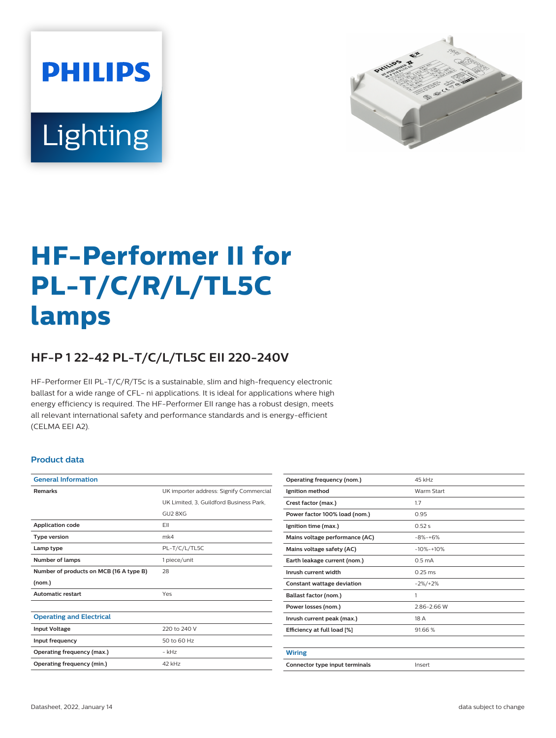



# **HF-Performer II for PL-T/C/R/L/TL5C lamps**

## **HF-P 1 22-42 PL-T/C/L/TL5C EII 220-240V**

HF-Performer EII PL-T/C/R/T5c is a sustainable, slim and high-frequency electronic ballast for a wide range of CFL- ni applications. It is ideal for applications where high energy efficiency is required. The HF-Performer EII range has a robust design, meets all relevant international safety and performance standards and is energy-efficient (CELMA EEI A2).

#### **Product data**

| <b>General Information</b>              |                                         |  |  |  |
|-----------------------------------------|-----------------------------------------|--|--|--|
| <b>Remarks</b>                          | UK importer address: Signify Commercial |  |  |  |
|                                         | UK Limited, 3, Guildford Business Park, |  |  |  |
|                                         | GU2 8XG                                 |  |  |  |
| <b>Application code</b>                 | FII                                     |  |  |  |
| <b>Type version</b>                     | mk4                                     |  |  |  |
| Lamp type                               | PL-T/C/L/TL5C                           |  |  |  |
| Number of lamps                         | 1 piece/unit                            |  |  |  |
| Number of products on MCB (16 A type B) | 28                                      |  |  |  |
| (nom.)                                  |                                         |  |  |  |
| <b>Automatic restart</b>                | Yes                                     |  |  |  |
|                                         |                                         |  |  |  |
| <b>Operating and Electrical</b>         |                                         |  |  |  |
| <b>Input Voltage</b>                    | 220 to 240 V                            |  |  |  |
| Input frequency                         | 50 to 60 Hz                             |  |  |  |
| Operating frequency (max.)              | - kHz                                   |  |  |  |
| Operating frequency (min.)              | 42 kHz                                  |  |  |  |
|                                         |                                         |  |  |  |

| Operating frequency (nom.)     | 45 kHz             |  |
|--------------------------------|--------------------|--|
| Ignition method                | Warm Start         |  |
| Crest factor (max.)            | 1.7                |  |
| Power factor 100% load (nom.)  | 0.95               |  |
| Ignition time (max.)           | 0.52s              |  |
| Mains voltage performance (AC) | $-8% -+6%$         |  |
| Mains voltage safety (AC)      | $-10% -10%$        |  |
| Earth leakage current (nom.)   | 0.5 <sub>m</sub> A |  |
| Inrush current width           | $0.25$ ms          |  |
| Constant wattage deviation     | $-2\%/+2\%$        |  |
| Ballast factor (nom.)          | 1                  |  |
| Power losses (nom.)            | 2.86-2.66 W        |  |
| Inrush current peak (max.)     | 18 A               |  |
| Efficiency at full load [%]    | 91.66%             |  |
|                                |                    |  |
| Wiring                         |                    |  |
| Connector type input terminals | Insert             |  |
|                                |                    |  |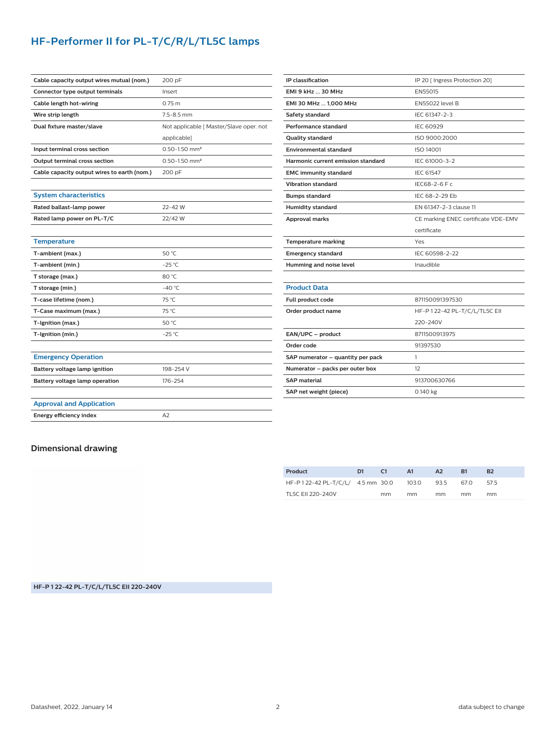## **HF-Performer II for PL-T/C/R/L/TL5C lamps**

| Cable capacity output wires mutual (nom.)   | 200 pF                                  |  |  |  |  |
|---------------------------------------------|-----------------------------------------|--|--|--|--|
| Connector type output terminals             | Insert                                  |  |  |  |  |
| Cable length hot-wiring                     | 0.75 <sub>m</sub>                       |  |  |  |  |
| Wire strip length                           | $7.5 - 8.5$ mm                          |  |  |  |  |
| Dual fixture master/slave                   | Not applicable [ Master/Slave oper. not |  |  |  |  |
|                                             | applicable]                             |  |  |  |  |
| Input terminal cross section                | $0.50 - 1.50$ mm <sup>2</sup>           |  |  |  |  |
| <b>Output terminal cross section</b>        | $0.50 - 1.50$ mm <sup>2</sup>           |  |  |  |  |
| Cable capacity output wires to earth (nom.) | 200 pF                                  |  |  |  |  |
|                                             |                                         |  |  |  |  |
| <b>System characteristics</b>               |                                         |  |  |  |  |
| Rated ballast-lamp power                    | 22-42 W                                 |  |  |  |  |
| Rated lamp power on PL-T/C                  | 22/42 W                                 |  |  |  |  |
|                                             |                                         |  |  |  |  |
| <b>Temperature</b>                          |                                         |  |  |  |  |
| T-ambient (max.)                            | 50 °C                                   |  |  |  |  |
| T-ambient (min.)                            | $-25$ °C                                |  |  |  |  |
| T storage (max.)                            | 80 °C                                   |  |  |  |  |
| T storage (min.)                            | $-40 °C$                                |  |  |  |  |
| T-case lifetime (nom.)                      | 75 °C                                   |  |  |  |  |
| T-Case maximum (max.)                       | 75 °C                                   |  |  |  |  |
| T-Ignition (max.)                           | 50 °C                                   |  |  |  |  |
| T-Ignition (min.)                           | $-25$ °C                                |  |  |  |  |
|                                             |                                         |  |  |  |  |
| <b>Emergency Operation</b>                  |                                         |  |  |  |  |
| Battery voltage lamp ignition               | 198-254 V                               |  |  |  |  |
| Battery voltage lamp operation              | 176-254                                 |  |  |  |  |
|                                             |                                         |  |  |  |  |
| <b>Approval and Application</b>             |                                         |  |  |  |  |
| <b>Energy efficiency index</b>              | A <sub>2</sub>                          |  |  |  |  |
|                                             |                                         |  |  |  |  |

| IP classification                  | IP 20 [ Ingress Protection 20]      |  |  |  |
|------------------------------------|-------------------------------------|--|--|--|
| <b>EMI 9 kHz  30 MHz</b>           | EN55015                             |  |  |  |
| EMI 30 MHz  1,000 MHz              | <b>EN55022 level B</b>              |  |  |  |
| Safety standard                    | IEC 61347-2-3                       |  |  |  |
| Performance standard               | <b>IEC 60929</b>                    |  |  |  |
| Quality standard                   | ISO 9000:2000                       |  |  |  |
| <b>Environmental standard</b>      | <b>ISO 14001</b>                    |  |  |  |
| Harmonic current emission standard | IEC 61000-3-2                       |  |  |  |
| <b>EMC immunity standard</b>       | IEC 61547                           |  |  |  |
| <b>Vibration standard</b>          | IEC68-2-6 F c                       |  |  |  |
| <b>Bumps standard</b>              | IFC 68-2-29 Fb                      |  |  |  |
| <b>Humidity standard</b>           | EN 61347-2-3 clause 11              |  |  |  |
| <b>Approval marks</b>              | CE marking ENEC certificate VDE-EMV |  |  |  |
|                                    | certificate                         |  |  |  |
| <b>Temperature marking</b>         | Yes                                 |  |  |  |
| <b>Emergency standard</b>          | IEC 60598-2-22                      |  |  |  |
| Humming and noise level            | Inaudible                           |  |  |  |
|                                    |                                     |  |  |  |
| <b>Product Data</b>                |                                     |  |  |  |
| Full product code                  | 871150091397530                     |  |  |  |
| Order product name                 |                                     |  |  |  |
|                                    | HF-P 1 22-42 PL-T/C/L/TL5C EII      |  |  |  |
|                                    | 220-240V                            |  |  |  |
| EAN/UPC - product                  | 8711500913975                       |  |  |  |
| Order code                         | 91397530                            |  |  |  |
| SAP numerator - quantity per pack  | 1                                   |  |  |  |
| Numerator - packs per outer box    | 12                                  |  |  |  |
| <b>SAP</b> material                | 913700630766                        |  |  |  |

### **Dimensional drawing**

| Product                                     | D1 | - 61 | - A1 | A <sub>2</sub> | B1   | B <sub>2</sub> |
|---------------------------------------------|----|------|------|----------------|------|----------------|
| HF-P122-42 PL-T/C/L/ 4.5 mm 30.0 103.0 93.5 |    |      |      |                | 67.O | 575            |
| TL5C FII 220-240V                           |    | mm   | mm   | mm             | mm   | mm             |

**HF-P 1 22-42 PL-T/C/L/TL5C EII 220-240V**